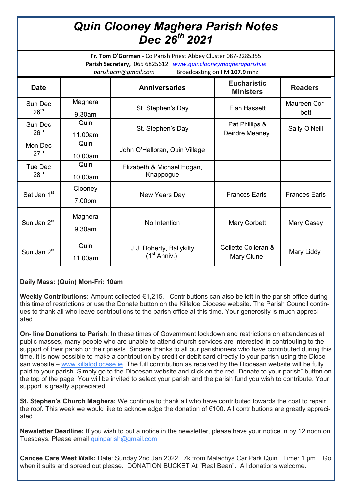# *Quin Clooney Maghera Parish Notes Dec 26th 2021*

**Fr. Tom O'Gorman** - Co Parish Priest Abbey Cluster 087-2285355 **Parish Secretary,** 065 6825612 *www.quinclooneymagheraparish.ie parishqcm@gmail.com* Broadcasting on FM **107.9** mhz

| <b>Date</b>                 |                   | <b>Anniversaries</b>                                 | <b>Eucharistic</b><br><b>Ministers</b> | <b>Readers</b>       |
|-----------------------------|-------------------|------------------------------------------------------|----------------------------------------|----------------------|
| Sun Dec<br>26 <sup>th</sup> | Maghera<br>9.30am | St. Stephen's Day                                    | <b>Flan Hassett</b>                    | Maureen Cor-<br>bett |
| Sun Dec<br>26 <sup>th</sup> | Quin<br>11.00am   | St. Stephen's Day                                    | Pat Phillips &<br>Deirdre Meaney       | Sally O'Neill        |
| Mon Dec<br>27 <sup>th</sup> | Quin<br>10.00am   | John O'Halloran, Quin Village                        |                                        |                      |
| Tue Dec<br>28 <sup>th</sup> | Quin<br>10.00am   | Elizabeth & Michael Hogan,<br>Knappogue              |                                        |                      |
| Sat Jan 1 <sup>st</sup>     | Clooney<br>7.00pm | New Years Day                                        | <b>Frances Earls</b>                   | <b>Frances Earls</b> |
| Sun Jan 2 <sup>nd</sup>     | Maghera<br>9.30am | No Intention                                         | Mary Corbett                           | Mary Casey           |
| Sun Jan 2 <sup>nd</sup>     | Quin<br>11.00am   | J.J. Doherty, Ballykilty<br>(1 <sup>st</sup> Anniv.) | Collette Colleran &<br>Mary Clune      | Mary Liddy           |

### **Daily Mass: (Quin) Mon-Fri: 10am**

**Weekly Contributions:** Amount collected €1,215. Contributions can also be left in the parish office during this time of restrictions or use the Donate button on the Killaloe Diocese website. The Parish Council continues to thank all who leave contributions to the parish office at this time. Your generosity is much appreciated.

**On- line Donations to Parish**: In these times of Government lockdown and restrictions on attendances at public masses, many people who are unable to attend church services are interested in contributing to the support of their parish or their priests. Sincere thanks to all our parishioners who have contributed during this time. It is now possible to make a contribution by credit or debit card directly to your parish using the Diocesan website – [www.killalodiocese.ie.](http://www.killalodiocese.ie/) The full contribution as received by the Diocesan website will be fully paid to your parish. Simply go to the Diocesan website and click on the red "Donate to your parish" button on the top of the page. You will be invited to select your parish and the parish fund you wish to contribute. Your support is greatly appreciated.

**St. Stephen's Church Maghera:** We continue to thank all who have contributed towards the cost to repair the roof. This week we would like to acknowledge the donation of €100. All contributions are greatly appreciated.

**Newsletter Deadline:** If you wish to put a notice in the newsletter, please have your notice in by 12 noon on Tuesdays. Please email [quinparish@gmail.com](mailto:quinparish@gmail.com)

**Cancee Care West Walk:** Date: Sunday 2nd Jan 2022.7k from Malachys Car Park Quin. Time: 1 pm. Go when it suits and spread out please. DONATION BUCKET At "Real Bean". All donations welcome.